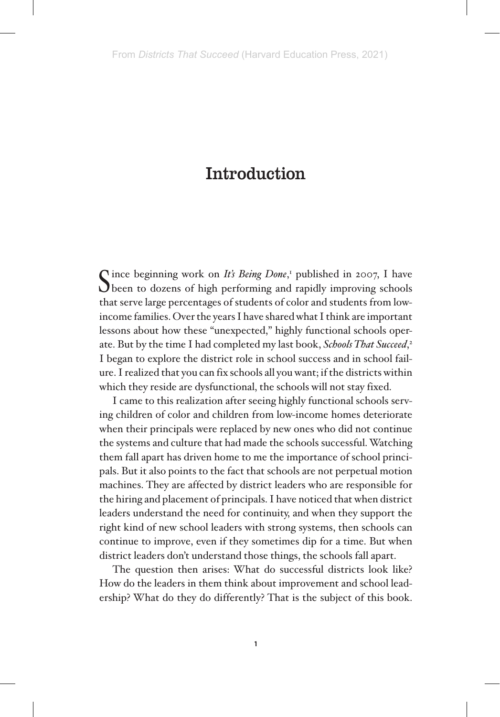Since beginning work on *It's Being Done*,<sup>1</sup> published in 2007, I have<br>Sheen to dozens of high performing and rapidly improving schools <sup>1</sup> published in 2007, I have that serve large percentages of students of color and students from lowincome families. Over the years I have shared what I think are important lessons about how these "unexpected," highly functional schools operate. But by the time I had completed my last book, *Schools That Succeed*, 2 I began to explore the district role in school success and in school failure. I realized that you can fix schools all you want; if the districts within which they reside are dysfunctional, the schools will not stay fixed.

I came to this realization after seeing highly functional schools serving children of color and children from low-income homes deteriorate when their principals were replaced by new ones who did not continue the systems and culture that had made the schools successful. Watching them fall apart has driven home to me the importance of school principals. But it also points to the fact that schools are not perpetual motion machines. They are affected by district leaders who are responsible for the hiring and placement of principals. I have noticed that when district leaders understand the need for continuity, and when they support the right kind of new school leaders with strong systems, then schools can continue to improve, even if they sometimes dip for a time. But when district leaders don't understand those things, the schools fall apart.

The question then arises: What do successful districts look like? How do the leaders in them think about improvement and school leadership? What do they do differently? That is the subject of this book.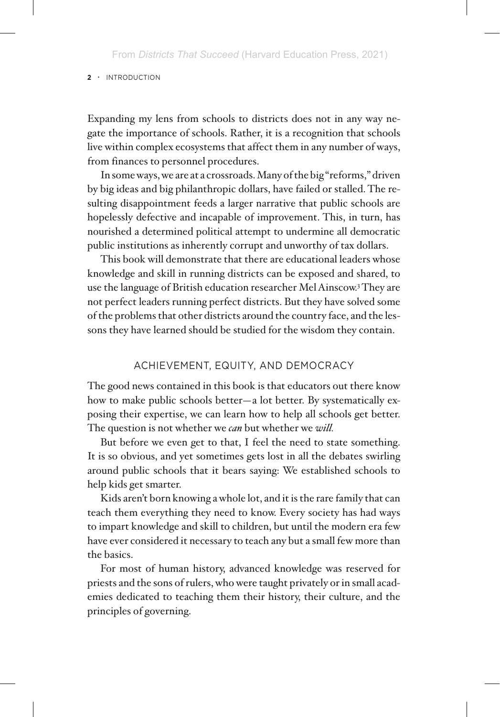Expanding my lens from schools to districts does not in any way negate the importance of schools. Rather, it is a recognition that schools live within complex ecosystems that affect them in any number of ways, from finances to personnel procedures.

In some ways, we are at a crossroads. Many of the big "reforms," driven by big ideas and big philanthropic dollars, have failed or stalled. The resulting disappointment feeds a larger narrative that public schools are hopelessly defective and incapable of improvement. This, in turn, has nourished a determined political attempt to undermine all democratic public institutions as inherently corrupt and unworthy of tax dollars.

This book will demonstrate that there are educational leaders whose knowledge and skill in running districts can be exposed and shared, to use the language of British education researcher Mel Ainscow.3 They are not perfect leaders running perfect districts. But they have solved some of the problems that other districts around the country face, and the lessons they have learned should be studied for the wisdom they contain.

# ACHIEVEMENT, EQUITY, AND DEMOCRACY

The good news contained in this book is that educators out there know how to make public schools better—a lot better. By systematically exposing their expertise, we can learn how to help all schools get better. The question is not whether we *can* but whether we *will.*

But before we even get to that, I feel the need to state something. It is so obvious, and yet sometimes gets lost in all the debates swirling around public schools that it bears saying: We established schools to help kids get smarter.

Kids aren't born knowing a whole lot, and it is the rare family that can teach them everything they need to know. Every society has had ways to impart knowledge and skill to children, but until the modern era few have ever considered it necessary to teach any but a small few more than the basics.

For most of human history, advanced knowledge was reserved for priests and the sons of rulers, who were taught privately or in small academies dedicated to teaching them their history, their culture, and the principles of governing.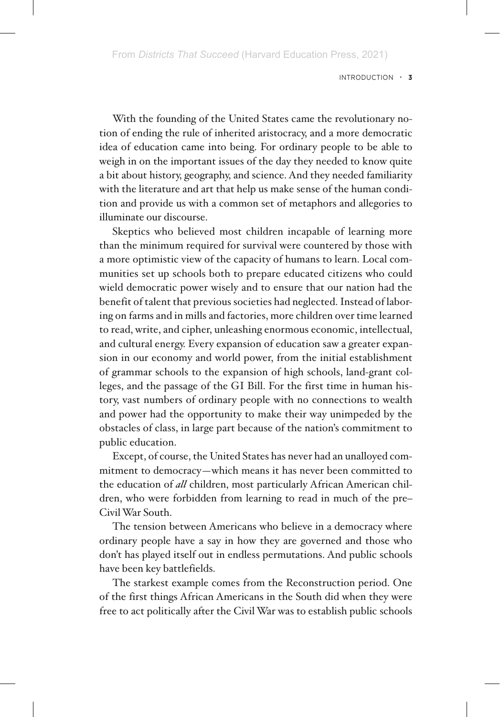Introduction • **3**

With the founding of the United States came the revolutionary notion of ending the rule of inherited aristocracy, and a more democratic idea of education came into being. For ordinary people to be able to weigh in on the important issues of the day they needed to know quite a bit about history, geography, and science. And they needed familiarity with the literature and art that help us make sense of the human condition and provide us with a common set of metaphors and allegories to illuminate our discourse.

Skeptics who believed most children incapable of learning more than the minimum required for survival were countered by those with a more optimistic view of the capacity of humans to learn. Local communities set up schools both to prepare educated citizens who could wield democratic power wisely and to ensure that our nation had the benefit of talent that previous societies had neglected. Instead of laboring on farms and in mills and factories, more children over time learned to read, write, and cipher, unleashing enormous economic, intellectual, and cultural energy. Every expansion of education saw a greater expansion in our economy and world power, from the initial establishment of grammar schools to the expansion of high schools, land-grant colleges, and the passage of the GI Bill. For the first time in human history, vast numbers of ordinary people with no connections to wealth and power had the opportunity to make their way unimpeded by the obstacles of class, in large part because of the nation's commitment to public education.

Except, of course, the United States has never had an unalloyed commitment to democracy—which means it has never been committed to the education of *all* children, most particularly African American children, who were forbidden from learning to read in much of the pre– Civil War South.

The tension between Americans who believe in a democracy where ordinary people have a say in how they are governed and those who don't has played itself out in endless permutations. And public schools have been key battlefields.

The starkest example comes from the Reconstruction period. One of the first things African Americans in the South did when they were free to act politically after the Civil War was to establish public schools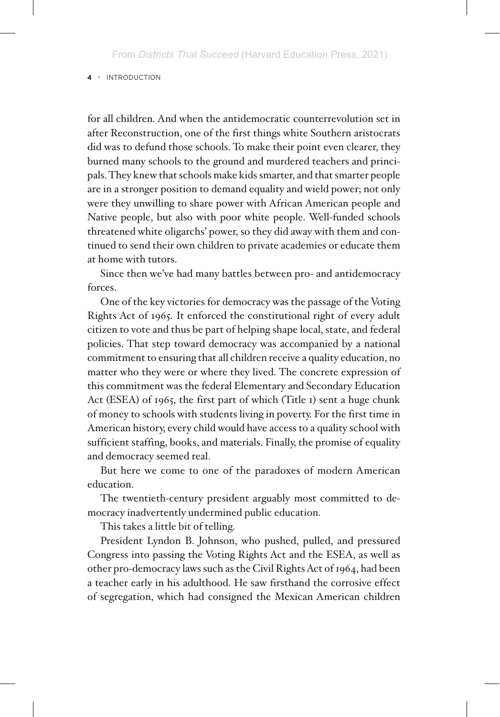for all children. And when the antidemocratic counterrevolution set in after Reconstruction, one of the first things white Southern aristocrats did was to defund those schools. To make their point even clearer, they burned many schools to the ground and murdered teachers and principals. They knew that schools make kids smarter, and that smarter people are in a stronger position to demand equality and wield power; not only were they unwilling to share power with African American people and Native people, but also with poor white people. Well-funded schools threatened white oligarchs' power, so they did away with them and continued to send their own children to private academies or educate them at home with tutors.

Since then we've had many battles between pro- and antidemocracy forces.

One of the key victories for democracy was the passage of the Voting Rights Act of 1965. It enforced the constitutional right of every adult citizen to vote and thus be part of helping shape local, state, and federal policies. That step toward democracy was accompanied by a national commitment to ensuring that all children receive a quality education, no matter who they were or where they lived. The concrete expression of this commitment was the federal Elementary and Secondary Education Act (ESEA) of 1965, the first part of which (Title 1) sent a huge chunk of money to schools with students living in poverty. For the first time in American history, every child would have access to a quality school with sufficient staffing, books, and materials. Finally, the promise of equality and democracy seemed real.

But here we come to one of the paradoxes of modern American education.

The twentieth-century president arguably most committed to democracy inadvertently undermined public education.

This takes a little bit of telling.

President Lyndon B. Johnson, who pushed, pulled, and pressured Congress into passing the Voting Rights Act and the ESEA, as well as other pro-democracy laws such as the Civil Rights Act of 1964, had been a teacher early in his adulthood. He saw firsthand the corrosive effect of segregation, which had consigned the Mexican American children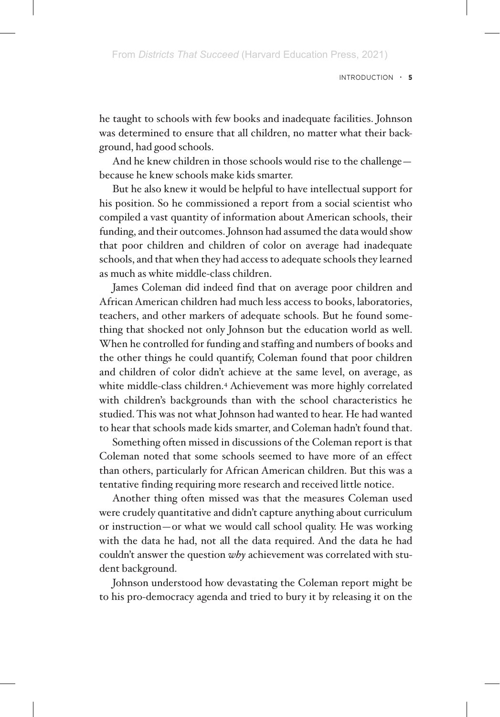he taught to schools with few books and inadequate facilities. Johnson was determined to ensure that all children, no matter what their background, had good schools.

And he knew children in those schools would rise to the challenge because he knew schools make kids smarter.

But he also knew it would be helpful to have intellectual support for his position. So he commissioned a report from a social scientist who compiled a vast quantity of information about American schools, their funding, and their outcomes. Johnson had assumed the data would show that poor children and children of color on average had inadequate schools, and that when they had access to adequate schools they learned as much as white middle-class children.

James Coleman did indeed find that on average poor children and African American children had much less access to books, laboratories, teachers, and other markers of adequate schools. But he found something that shocked not only Johnson but the education world as well. When he controlled for funding and staffing and numbers of books and the other things he could quantify, Coleman found that poor children and children of color didn't achieve at the same level, on average, as white middle-class children.4 Achievement was more highly correlated with children's backgrounds than with the school characteristics he studied. This was not what Johnson had wanted to hear. He had wanted to hear that schools made kids smarter, and Coleman hadn't found that.

Something often missed in discussions of the Coleman report is that Coleman noted that some schools seemed to have more of an effect than others, particularly for African American children. But this was a tentative finding requiring more research and received little notice.

Another thing often missed was that the measures Coleman used were crudely quantitative and didn't capture anything about curriculum or instruction—or what we would call school quality. He was working with the data he had, not all the data required. And the data he had couldn't answer the question *why* achievement was correlated with student background.

Johnson understood how devastating the Coleman report might be to his pro-democracy agenda and tried to bury it by releasing it on the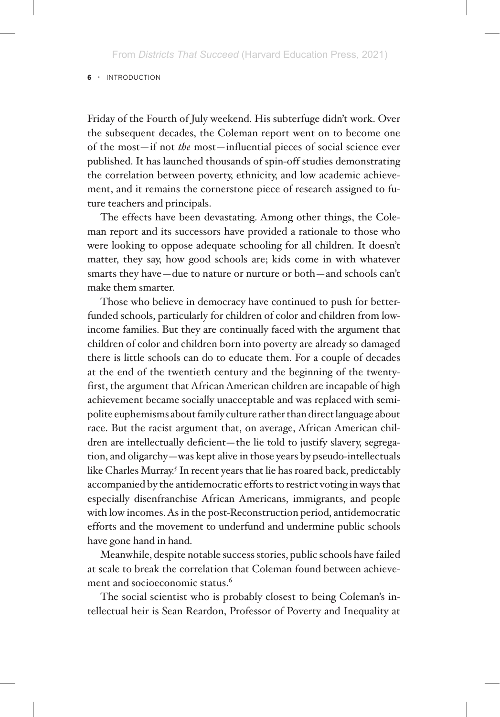Friday of the Fourth of July weekend. His subterfuge didn't work. Over the subsequent decades, the Coleman report went on to become one of the most—if not *the* most—influential pieces of social science ever published. It has launched thousands of spin-off studies demonstrating the correlation between poverty, ethnicity, and low academic achievement, and it remains the cornerstone piece of research assigned to future teachers and principals.

The effects have been devastating. Among other things, the Coleman report and its successors have provided a rationale to those who were looking to oppose adequate schooling for all children. It doesn't matter, they say, how good schools are; kids come in with whatever smarts they have—due to nature or nurture or both—and schools can't make them smarter.

Those who believe in democracy have continued to push for betterfunded schools, particularly for children of color and children from lowincome families. But they are continually faced with the argument that children of color and children born into poverty are already so damaged there is little schools can do to educate them. For a couple of decades at the end of the twentieth century and the beginning of the twentyfirst, the argument that African American children are incapable of high achievement became socially unacceptable and was replaced with semipolite euphemisms about family culture rather than direct language about race. But the racist argument that, on average, African American children are intellectually deficient—the lie told to justify slavery, segregation, and oligarchy—was kept alive in those years by pseudo-intellectuals like Charles Murray.<sup>5</sup> In recent years that lie has roared back, predictably accompanied by the antidemocratic efforts to restrict voting in ways that especially disenfranchise African Americans, immigrants, and people with low incomes. As in the post-Reconstruction period, antidemocratic efforts and the movement to underfund and undermine public schools have gone hand in hand.

Meanwhile, despite notable success stories, public schools have failed at scale to break the correlation that Coleman found between achievement and socioeconomic status.<sup>6</sup>

The social scientist who is probably closest to being Coleman's intellectual heir is Sean Reardon, Professor of Poverty and Inequality at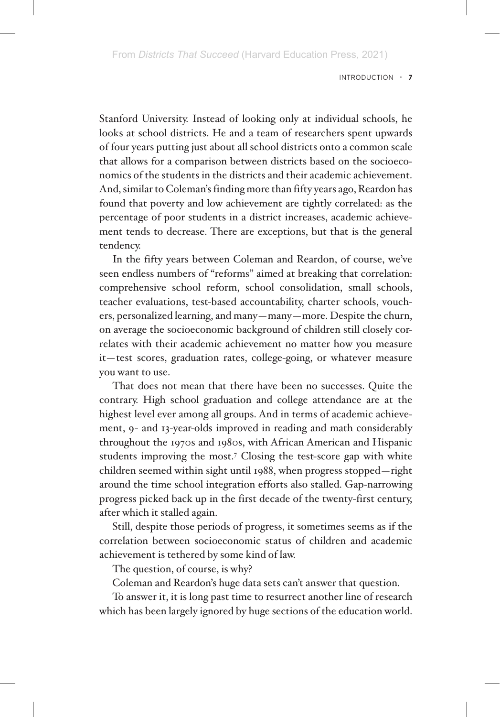Introduction • **7**

Stanford University. Instead of looking only at individual schools, he looks at school districts. He and a team of researchers spent upwards of four years putting just about all school districts onto a common scale that allows for a comparison between districts based on the socioeconomics of the students in the districts and their academic achievement. And, similar to Coleman's finding more than fifty years ago, Reardon has found that poverty and low achievement are tightly correlated: as the percentage of poor students in a district increases, academic achievement tends to decrease. There are exceptions, but that is the general tendency.

In the fifty years between Coleman and Reardon, of course, we've seen endless numbers of "reforms" aimed at breaking that correlation: comprehensive school reform, school consolidation, small schools, teacher evaluations, test-based accountability, charter schools, vouchers, personalized learning, and many—many—more. Despite the churn, on average the socioeconomic background of children still closely correlates with their academic achievement no matter how you measure it—test scores, graduation rates, college-going, or whatever measure you want to use.

That does not mean that there have been no successes. Quite the contrary. High school graduation and college attendance are at the highest level ever among all groups. And in terms of academic achievement, 9- and 13-year-olds improved in reading and math considerably throughout the 1970s and 1980s, with African American and Hispanic students improving the most.7 Closing the test-score gap with white children seemed within sight until 1988, when progress stopped—right around the time school integration efforts also stalled. Gap-narrowing progress picked back up in the first decade of the twenty-first century, after which it stalled again.

Still, despite those periods of progress, it sometimes seems as if the correlation between socioeconomic status of children and academic achievement is tethered by some kind of law.

The question, of course, is why?

Coleman and Reardon's huge data sets can't answer that question.

To answer it, it is long past time to resurrect another line of research which has been largely ignored by huge sections of the education world.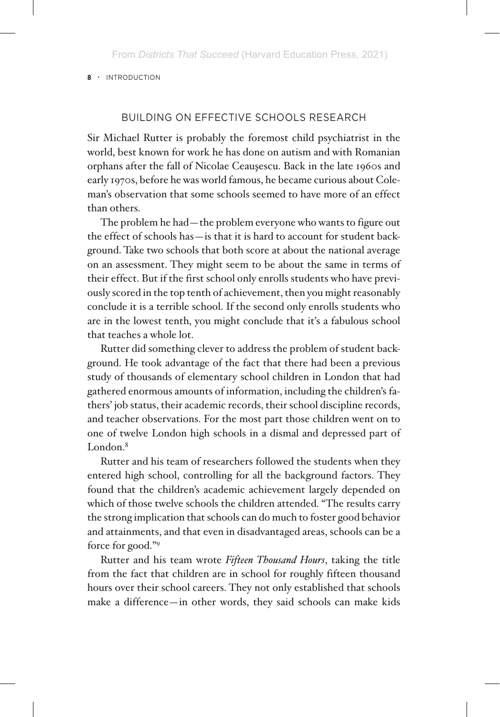# BUILDING ON EFFECTIVE SCHOOLS RESEARCH

Sir Michael Rutter is probably the foremost child psychiatrist in the world, best known for work he has done on autism and with Romanian orphans after the fall of Nicolae Ceauşescu. Back in the late 1960s and early 1970s, before he was world famous, he became curious about Coleman's observation that some schools seemed to have more of an effect than others.

The problem he had—the problem everyone who wants to figure out the effect of schools has—is that it is hard to account for student background. Take two schools that both score at about the national average on an assessment. They might seem to be about the same in terms of their effect. But if the first school only enrolls students who have previously scored in the top tenth of achievement, then you might reasonably conclude it is a terrible school. If the second only enrolls students who are in the lowest tenth, you might conclude that it's a fabulous school that teaches a whole lot.

Rutter did something clever to address the problem of student background. He took advantage of the fact that there had been a previous study of thousands of elementary school children in London that had gathered enormous amounts of information, including the children's fathers' job status, their academic records, their school discipline records, and teacher observations. For the most part those children went on to one of twelve London high schools in a dismal and depressed part of London.<sup>8</sup>

Rutter and his team of researchers followed the students when they entered high school, controlling for all the background factors. They found that the children's academic achievement largely depended on which of those twelve schools the children attended. "The results carry the strong implication that schools can do much to foster good behavior and attainments, and that even in disadvantaged areas, schools can be a force for good."9

Rutter and his team wrote *Fifteen Thousand Hours*, taking the title from the fact that children are in school for roughly fifteen thousand hours over their school careers. They not only established that schools make a difference—in other words, they said schools can make kids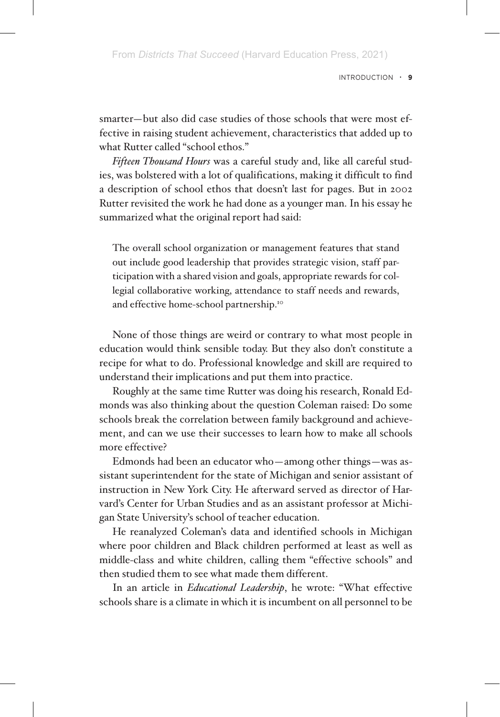Introduction • **9**

smarter—but also did case studies of those schools that were most effective in raising student achievement, characteristics that added up to what Rutter called "school ethos."

*Fifteen Thousand Hours* was a careful study and, like all careful studies, was bolstered with a lot of qualifications, making it difficult to find a description of school ethos that doesn't last for pages. But in 2002 Rutter revisited the work he had done as a younger man. In his essay he summarized what the original report had said:

The overall school organization or management features that stand out include good leadership that provides strategic vision, staff participation with a shared vision and goals, appropriate rewards for collegial collaborative working, attendance to staff needs and rewards, and effective home-school partnership.10

None of those things are weird or contrary to what most people in education would think sensible today. But they also don't constitute a recipe for what to do. Professional knowledge and skill are required to understand their implications and put them into practice.

Roughly at the same time Rutter was doing his research, Ronald Edmonds was also thinking about the question Coleman raised: Do some schools break the correlation between family background and achievement, and can we use their successes to learn how to make all schools more effective?

Edmonds had been an educator who—among other things—was assistant superintendent for the state of Michigan and senior assistant of instruction in New York City. He afterward served as director of Harvard's Center for Urban Studies and as an assistant professor at Michigan State University's school of teacher education.

He reanalyzed Coleman's data and identified schools in Michigan where poor children and Black children performed at least as well as middle-class and white children, calling them "effective schools" and then studied them to see what made them different.

In an article in *Educational Leadership*, he wrote: "What effective schools share is a climate in which it is incumbent on all personnel to be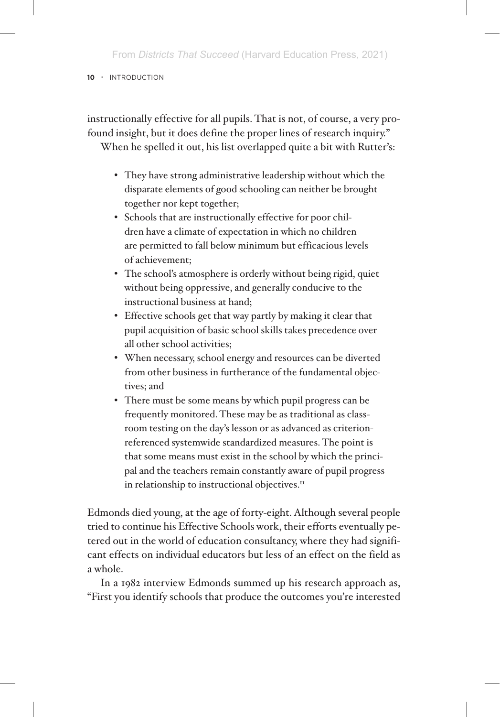instructionally effective for all pupils. That is not, of course, a very profound insight, but it does define the proper lines of research inquiry." When he spelled it out, his list overlapped quite a bit with Rutter's:

- They have strong administrative leadership without which the disparate elements of good schooling can neither be brought together nor kept together;
- Schools that are instructionally effective for poor children have a climate of expectation in which no children are permitted to fall below minimum but efficacious levels of achievement;
- The school's atmosphere is orderly without being rigid, quiet without being oppressive, and generally conducive to the instructional business at hand;
- Effective schools get that way partly by making it clear that pupil acquisition of basic school skills takes precedence over all other school activities;
- When necessary, school energy and resources can be diverted from other business in furtherance of the fundamental objectives; and
- There must be some means by which pupil progress can be frequently monitored. These may be as traditional as classroom testing on the day's lesson or as advanced as criterionreferenced systemwide standardized measures. The point is that some means must exist in the school by which the principal and the teachers remain constantly aware of pupil progress in relationship to instructional objectives.<sup>11</sup>

Edmonds died young, at the age of forty-eight. Although several people tried to continue his Effective Schools work, their efforts eventually petered out in the world of education consultancy, where they had significant effects on individual educators but less of an effect on the field as a whole.

In a 1982 interview Edmonds summed up his research approach as, "First you identify schools that produce the outcomes you're interested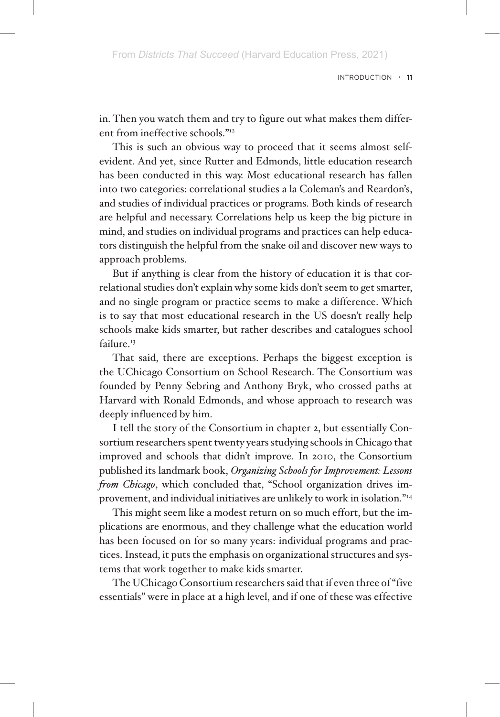in. Then you watch them and try to figure out what makes them different from ineffective schools."12

This is such an obvious way to proceed that it seems almost selfevident. And yet, since Rutter and Edmonds, little education research has been conducted in this way. Most educational research has fallen into two categories: correlational studies a la Coleman's and Reardon's, and studies of individual practices or programs. Both kinds of research are helpful and necessary. Correlations help us keep the big picture in mind, and studies on individual programs and practices can help educators distinguish the helpful from the snake oil and discover new ways to approach problems.

But if anything is clear from the history of education it is that correlational studies don't explain why some kids don't seem to get smarter, and no single program or practice seems to make a difference. Which is to say that most educational research in the US doesn't really help schools make kids smarter, but rather describes and catalogues school failure.<sup>13</sup>

That said, there are exceptions. Perhaps the biggest exception is the UChicago Consortium on School Research. The Consortium was founded by Penny Sebring and Anthony Bryk, who crossed paths at Harvard with Ronald Edmonds, and whose approach to research was deeply influenced by him.

I tell the story of the Consortium in chapter 2, but essentially Consortium researchers spent twenty years studying schools in Chicago that improved and schools that didn't improve. In 2010, the Consortium published its landmark book, *Organizing Schools for Improvement: Lessons from Chicago*, which concluded that, "School organization drives improvement, and individual initiatives are unlikely to work in isolation."14

This might seem like a modest return on so much effort, but the implications are enormous, and they challenge what the education world has been focused on for so many years: individual programs and practices. Instead, it puts the emphasis on organizational structures and systems that work together to make kids smarter.

The UChicago Consortium researchers said that if even three of "five essentials" were in place at a high level, and if one of these was effective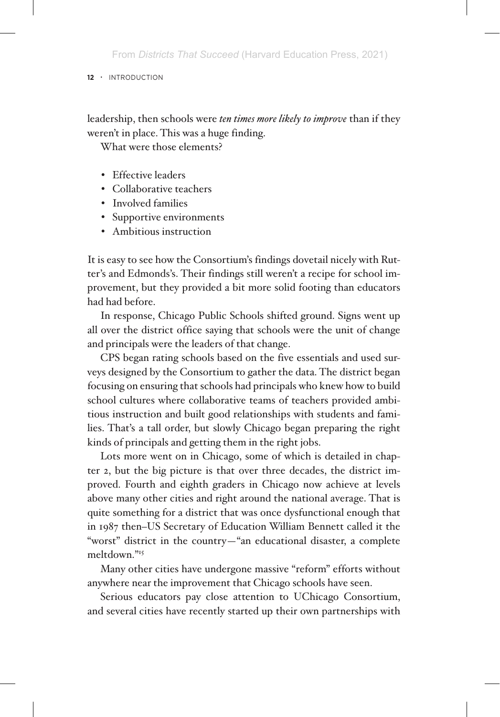leadership, then schools were *ten times more likely to improve* than if they weren't in place. This was a huge finding.

What were those elements?

- Effective leaders
- Collaborative teachers
- Involved families
- Supportive environments
- Ambitious instruction

It is easy to see how the Consortium's findings dovetail nicely with Rutter's and Edmonds's. Their findings still weren't a recipe for school improvement, but they provided a bit more solid footing than educators had had before.

In response, Chicago Public Schools shifted ground. Signs went up all over the district office saying that schools were the unit of change and principals were the leaders of that change.

CPS began rating schools based on the five essentials and used surveys designed by the Consortium to gather the data. The district began focusing on ensuring that schools had principals who knew how to build school cultures where collaborative teams of teachers provided ambitious instruction and built good relationships with students and families. That's a tall order, but slowly Chicago began preparing the right kinds of principals and getting them in the right jobs.

Lots more went on in Chicago, some of which is detailed in chapter 2, but the big picture is that over three decades, the district improved. Fourth and eighth graders in Chicago now achieve at levels above many other cities and right around the national average. That is quite something for a district that was once dysfunctional enough that in 1987 then–US Secretary of Education William Bennett called it the "worst" district in the country—"an educational disaster, a complete meltdown."15

Many other cities have undergone massive "reform" efforts without anywhere near the improvement that Chicago schools have seen.

Serious educators pay close attention to UChicago Consortium, and several cities have recently started up their own partnerships with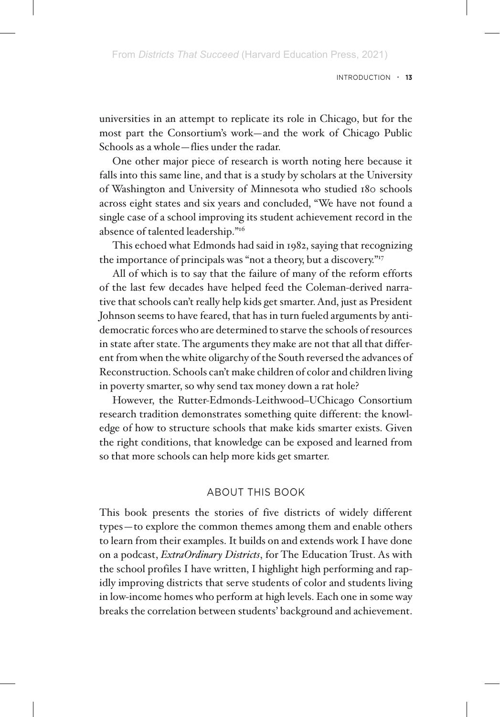universities in an attempt to replicate its role in Chicago, but for the most part the Consortium's work—and the work of Chicago Public Schools as a whole—flies under the radar.

One other major piece of research is worth noting here because it falls into this same line, and that is a study by scholars at the University of Washington and University of Minnesota who studied 180 schools across eight states and six years and concluded, "We have not found a single case of a school improving its student achievement record in the absence of talented leadership."16

This echoed what Edmonds had said in 1982, saying that recognizing the importance of principals was "not a theory, but a discovery."<sup>17</sup>

All of which is to say that the failure of many of the reform efforts of the last few decades have helped feed the Coleman-derived narrative that schools can't really help kids get smarter. And, just as President Johnson seems to have feared, that has in turn fueled arguments by antidemocratic forces who are determined to starve the schools of resources in state after state. The arguments they make are not that all that different from when the white oligarchy of the South reversed the advances of Reconstruction. Schools can't make children of color and children living in poverty smarter, so why send tax money down a rat hole?

However, the Rutter-Edmonds-Leithwood–UChicago Consortium research tradition demonstrates something quite different: the knowledge of how to structure schools that make kids smarter exists. Given the right conditions, that knowledge can be exposed and learned from so that more schools can help more kids get smarter.

# **ABOUT THIS BOOK**

This book presents the stories of five districts of widely different types—to explore the common themes among them and enable others to learn from their examples. It builds on and extends work I have done on a podcast, *ExtraOrdinary Districts*, for The Education Trust. As with the school profiles I have written, I highlight high performing and rapidly improving districts that serve students of color and students living in low-income homes who perform at high levels. Each one in some way breaks the correlation between students' background and achievement.